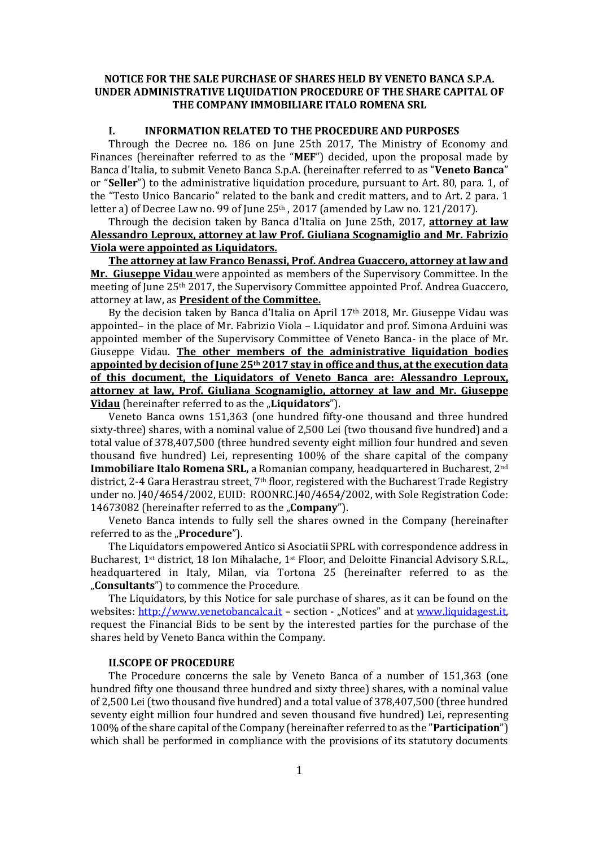### **NOTICE FOR THE SALE PURCHASE OF SHARES HELD BY VENETO BANCA S.P.A. UNDER ADMINISTRATIVE LIQUIDATION PROCEDURE OF THE SHARE CAPITAL OF THE COMPANY IMMOBILIARE ITALO ROMENA SRL**

#### **I. INFORMATION RELATED TO THE PROCEDURE AND PURPOSES**

Through the Decree no. 186 on June 25th 2017, The Ministry of Economy and Finances (hereinafter referred to as the "**MEF**") decided, upon the proposal made by Banca d'Italia, to submit Veneto Banca S.p.A. (hereinafter referred to as "**Veneto Banca**" or "**Seller**") to the administrative liquidation procedure, pursuant to Art. 80, para. 1, of the "Testo Unico Bancario" related to the bank and credit matters, and to Art. 2 para. 1 letter a) of Decree Law no. 99 of June 25<sup>th</sup>, 2017 (amended by Law no. 121/2017).

Through the decision taken by Banca d'Italia on June 25th, 2017, **attorney at law Alessandro Leproux, attorney at law Prof. Giuliana Scognamiglio and Mr. Fabrizio Viola were appointed as Liquidators.**

**The attorney at law Franco Benassi, Prof. Andrea Guaccero, attorney at law and Mr. Giuseppe Vidau** were appointed as members of the Supervisory Committee. In the meeting of June 25th 2017, the Supervisory Committee appointed Prof. Andrea Guaccero, attorney at law, as **President of the Committee.** 

By the decision taken by Banca d'Italia on April 17th 2018, Mr. Giuseppe Vidau was appointed– in the place of Mr. Fabrizio Viola – Liquidator and prof. Simona Arduini was appointed member of the Supervisory Committee of Veneto Banca- in the place of Mr. Giuseppe Vidau. **The other members of the administrative liquidation bodies appointed by decision of June 25th 2017 stay in office and thus, at the execution data of this document, the Liquidators of Veneto Banca are: Alessandro Leproux, attorney at law, Prof. Giuliana Scognamiglio, attorney at law and Mr. Giuseppe Vidau** (hereinafter referred to as the **Liquidators**").

Veneto Banca owns 151,363 (one hundred fifty-one thousand and three hundred sixty-three) shares, with a nominal value of 2,500 Lei (two thousand five hundred) and a total value of 378,407,500 (three hundred seventy eight million four hundred and seven thousand five hundred) Lei, representing 100% of the share capital of the company **Immobiliare Italo Romena SRL,** a Romanian company, headquartered in Bucharest, 2nd district, 2-4 Gara Herastrau street, 7<sup>th</sup> floor, registered with the Bucharest Trade Registry under no. J40/4654/2002, EUID: ROONRC.J40/4654/2002, with Sole Registration Code: 14673082 (hereinafter referred to as the "**Company**").

Veneto Banca intends to fully sell the shares owned in the Company (hereinafter referred to as the "**Procedure**").

The Liquidators empowered Antico si Asociatii SPRL with correspondence address in Bucharest, 1st district, 18 Ion Mihalache, 1st Floor, and Deloitte Financial Advisory S.R.L., headquartered in Italy, Milan, via Tortona 25 (hereinafter referred to as the "**Consultants**") to commence the Procedure.

The Liquidators, by this Notice for sale purchase of shares, as it can be found on the websites: [http://www.venetobancalca.it](http://www.venetobancalca.it/) – section - "Notices" and at [www.liquidagest.it,](http://www.liquidagest.it/) request the Financial Bids to be sent by the interested parties for the purchase of the shares held by Veneto Banca within the Company.

#### **II.SCOPE OF PROCEDURE**

The Procedure concerns the sale by Veneto Banca of a number of 151,363 (one hundred fifty one thousand three hundred and sixty three) shares, with a nominal value of 2,500 Lei (two thousand five hundred) and a total value of 378,407,500 (three hundred seventy eight million four hundred and seven thousand five hundred) Lei, representing 100% of the share capital of the Company (hereinafter referred to as the "**Participation**") which shall be performed in compliance with the provisions of its statutory documents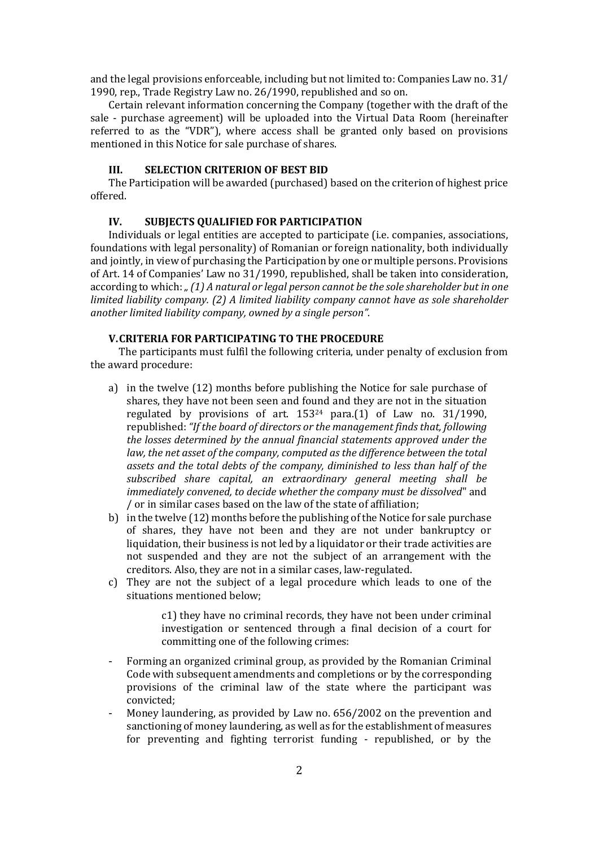and the legal provisions enforceable, including but not limited to: Companies Law no. 31/ 1990, rep., Trade Registry Law no. 26/1990, republished and so on.

Certain relevant information concerning the Company (together with the draft of the sale - purchase agreement) will be uploaded into the Virtual Data Room (hereinafter referred to as the "VDR"), where access shall be granted only based on provisions mentioned in this Notice for sale purchase of shares.

#### **III. SELECTION CRITERION OF BEST BID**

The Participation will be awarded (purchased) based on the criterion of highest price offered.

#### **IV. SUBJECTS QUALIFIED FOR PARTICIPATION**

Individuals or legal entities are accepted to participate (i.e. companies, associations, foundations with legal personality) of Romanian or foreign nationality, both individually and jointly, in view of purchasing the Participation by one or multiple persons. Provisions of Art. 14 of Companies' Law no 31/1990, republished, shall be taken into consideration, according to which: *" (1) A natural or legal person cannot be the sole shareholder but in one limited liability company. (2) A limited liability company cannot have as sole shareholder another limited liability company, owned by a single person".*

# **V.CRITERIA FOR PARTICIPATING TO THE PROCEDURE**

The participants must fulfil the following criteria, under penalty of exclusion from the award procedure:

- a) in the twelve (12) months before publishing the Notice for sale purchase of shares, they have not been seen and found and they are not in the situation regulated by provisions of art. 153<sup>24</sup> para.(1) of Law no. 31/1990, republished: *"If the board of directors or the management finds that, following the losses determined by the annual financial statements approved under the law, the net asset of the company, computed as the difference between the total assets and the total debts of the company, diminished to less than half of the subscribed share capital, an extraordinary general meeting shall be immediately convened, to decide whether the company must be dissolved*" and / or in similar cases based on the law of the state of affiliation;
- b) in the twelve (12) months before the publishing of the Notice for sale purchase of shares, they have not been and they are not under bankruptcy or liquidation, their business is not led by a liquidator or their trade activities are not suspended and they are not the subject of an arrangement with the creditors. Also, they are not in a similar cases, law-regulated.
- c) They are not the subject of a legal procedure which leads to one of the situations mentioned below;

c1) they have no criminal records, they have not been under criminal investigation or sentenced through a final decision of a court for committing one of the following crimes:

- Forming an organized criminal group, as provided by the Romanian Criminal Code with subsequent amendments and completions or by the corresponding provisions of the criminal law of the state where the participant was convicted;
- Money laundering, as provided by Law no. 656/2002 on the prevention and sanctioning of money laundering, as well as for the establishment of measures for preventing and fighting terrorist funding - republished, or by the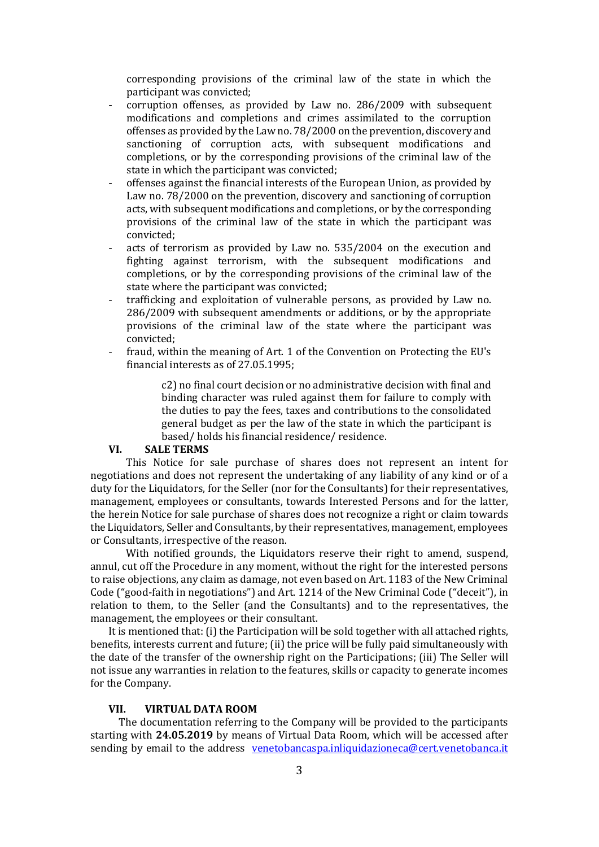corresponding provisions of the criminal law of the state in which the participant was convicted;

- corruption offenses, as provided by Law no. 286/2009 with subsequent modifications and completions and crimes assimilated to the corruption offenses as provided by the Law no. 78/2000 on the prevention, discovery and sanctioning of corruption acts, with subsequent modifications and completions, or by the corresponding provisions of the criminal law of the state in which the participant was convicted;
- offenses against the financial interests of the European Union, as provided by Law no. 78/2000 on the prevention, discovery and sanctioning of corruption acts, with subsequent modifications and completions, or by the corresponding provisions of the criminal law of the state in which the participant was convicted;
- acts of terrorism as provided by Law no. 535/2004 on the execution and fighting against terrorism, with the subsequent modifications and completions, or by the corresponding provisions of the criminal law of the state where the participant was convicted;
- trafficking and exploitation of vulnerable persons, as provided by Law no. 286/2009 with subsequent amendments or additions, or by the appropriate provisions of the criminal law of the state where the participant was convicted;
- fraud, within the meaning of Art. 1 of the Convention on Protecting the EU's financial interests as of 27.05.1995;

c2) no final court decision or no administrative decision with final and binding character was ruled against them for failure to comply with the duties to pay the fees, taxes and contributions to the consolidated general budget as per the law of the state in which the participant is based/ holds his financial residence/ residence.

### **VI. SALE TERMS**

This Notice for sale purchase of shares does not represent an intent for negotiations and does not represent the undertaking of any liability of any kind or of a duty for the Liquidators, for the Seller (nor for the Consultants) for their representatives, management, employees or consultants, towards Interested Persons and for the latter, the herein Notice for sale purchase of shares does not recognize a right or claim towards the Liquidators, Seller and Consultants, by their representatives, management, employees or Consultants, irrespective of the reason.

With notified grounds, the Liquidators reserve their right to amend, suspend, annul, cut off the Procedure in any moment, without the right for the interested persons to raise objections, any claim as damage, not even based on Art. 1183 of the New Criminal Code ("good-faith in negotiations") and Art. 1214 of the New Criminal Code ("deceit"), in relation to them, to the Seller (and the Consultants) and to the representatives, the management, the employees or their consultant.

It is mentioned that: (i) the Participation will be sold together with all attached rights, benefits, interests current and future; (ii) the price will be fully paid simultaneously with the date of the transfer of the ownership right on the Participations; (iii) The Seller will not issue any warranties in relation to the features, skills or capacity to generate incomes for the Company.

#### **VII. VIRTUAL DATA ROOM**

The documentation referring to the Company will be provided to the participants starting with **24.05.2019** by means of Virtual Data Room, which will be accessed after sending by email to the address [venetobancaspa.inliquidazioneca@cert.venetobanca.it](mailto:venetobancaspa.inliquidazioneca@cert.venetobanca.it)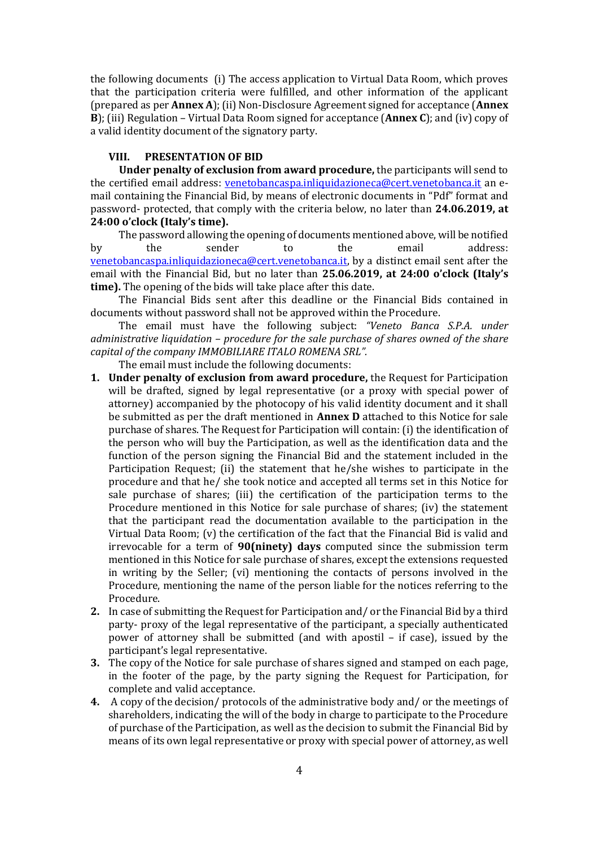the following documents (i) The access application to Virtual Data Room, which proves that the participation criteria were fulfilled, and other information of the applicant (prepared as per **Annex A**); (ii) Non-Disclosure Agreement signed for acceptance (**Annex B**); (iii) Regulation – Virtual Data Room signed for acceptance (**Annex C**); and (iv) copy of a valid identity document of the signatory party.

## **VIII. PRESENTATION OF BID**

**Under penalty of exclusion from award procedure,** the participants will send to the certified email address: [venetobancaspa.inliquidazioneca@cert.venetobanca.it](mailto:venetobancaspa.inliquidazioneca@cert.venetobanca.it) an email containing the Financial Bid, by means of electronic documents in "Pdf" format and password- protected, that comply with the criteria below, no later than **24.06.2019, at 24:00 o'clock (Italy's time).**

The password allowing the opening of documents mentioned above, will be notified by the sender to the email address: [venetobancaspa.inliquidazioneca@cert.venetobanca.it,](mailto:venetobancaspa.inliquidazioneca@cert.venetobanca.it) by a distinct email sent after the email with the Financial Bid, but no later than **25.06.2019, at 24:00 o'clock (Italy's time).** The opening of the bids will take place after this date.

The Financial Bids sent after this deadline or the Financial Bids contained in documents without password shall not be approved within the Procedure.

The email must have the following subject: *"Veneto Banca S.P.A. under administrative liquidation – procedure for the sale purchase of shares owned of the share capital of the company IMMOBILIARE ITALO ROMENA SRL".*

The email must include the following documents:

- **1. Under penalty of exclusion from award procedure,** the Request for Participation will be drafted, signed by legal representative (or a proxy with special power of attorney) accompanied by the photocopy of his valid identity document and it shall be submitted as per the draft mentioned in **Annex D** attached to this Notice for sale purchase of shares. The Request for Participation will contain: (i) the identification of the person who will buy the Participation, as well as the identification data and the function of the person signing the Financial Bid and the statement included in the Participation Request; (ii) the statement that he/she wishes to participate in the procedure and that he/ she took notice and accepted all terms set in this Notice for sale purchase of shares; (iii) the certification of the participation terms to the Procedure mentioned in this Notice for sale purchase of shares; (iv) the statement that the participant read the documentation available to the participation in the Virtual Data Room; (v) the certification of the fact that the Financial Bid is valid and irrevocable for a term of **90(ninety) days** computed since the submission term mentioned in this Notice for sale purchase of shares, except the extensions requested in writing by the Seller; (vi) mentioning the contacts of persons involved in the Procedure, mentioning the name of the person liable for the notices referring to the Procedure.
- **2.** In case of submitting the Request for Participation and/ or the Financial Bid by a third party- proxy of the legal representative of the participant, a specially authenticated power of attorney shall be submitted (and with apostil – if case), issued by the participant's legal representative.
- **3.** The copy of the Notice for sale purchase of shares signed and stamped on each page, in the footer of the page, by the party signing the Request for Participation, for complete and valid acceptance.
- **4.** A copy of the decision/ protocols of the administrative body and/ or the meetings of shareholders, indicating the will of the body in charge to participate to the Procedure of purchase of the Participation, as well as the decision to submit the Financial Bid by means of its own legal representative or proxy with special power of attorney, as well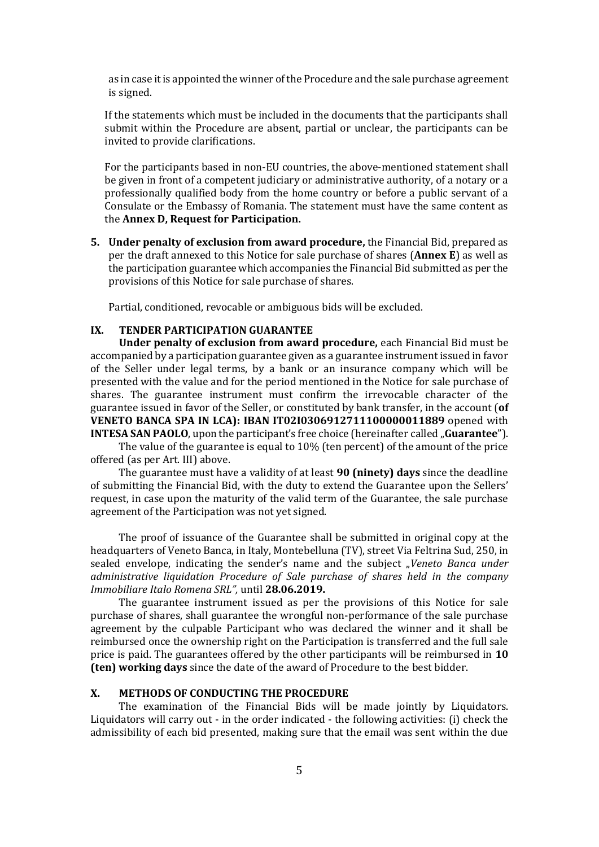as in case it is appointed the winner of the Procedure and the sale purchase agreement is signed.

If the statements which must be included in the documents that the participants shall submit within the Procedure are absent, partial or unclear, the participants can be invited to provide clarifications.

For the participants based in non-EU countries, the above-mentioned statement shall be given in front of a competent judiciary or administrative authority, of a notary or a professionally qualified body from the home country or before a public servant of a Consulate or the Embassy of Romania. The statement must have the same content as the **Annex D, Request for Participation.** 

**5. Under penalty of exclusion from award procedure,** the Financial Bid, prepared as per the draft annexed to this Notice for sale purchase of shares (**Annex E**) as well as the participation guarantee which accompanies the Financial Bid submitted as per the provisions of this Notice for sale purchase of shares.

Partial, conditioned, revocable or ambiguous bids will be excluded.

#### **IX. TENDER PARTICIPATION GUARANTEE**

**Under penalty of exclusion from award procedure,** each Financial Bid must be accompanied by a participation guarantee given as a guarantee instrument issued in favor of the Seller under legal terms, by a bank or an insurance company which will be presented with the value and for the period mentioned in the Notice for sale purchase of shares. The guarantee instrument must confirm the irrevocable character of the guarantee issued in favor of the Seller, or constituted by bank transfer, in the account (**of VENETO BANCA SPA IN LCA): IBAN IT02I0306912711100000011889** opened with **INTESA SAN PAOLO**, upon the participant's free choice (hereinafter called "Guarantee").

The value of the guarantee is equal to 10% (ten percent) of the amount of the price offered (as per Art. III) above.

The guarantee must have a validity of at least **90 (ninety) days** since the deadline of submitting the Financial Bid, with the duty to extend the Guarantee upon the Sellers' request, in case upon the maturity of the valid term of the Guarantee, the sale purchase agreement of the Participation was not yet signed.

The proof of issuance of the Guarantee shall be submitted in original copy at the headquarters of Veneto Banca, in Italy, Montebelluna (TV), street Via Feltrina Sud, 250, in sealed envelope, indicating the sender's name and the subject "*Veneto Banca under administrative liquidation Procedure of Sale purchase of shares held in the company Immobiliare Italo Romena SRL",* until **28.06.2019.**

The guarantee instrument issued as per the provisions of this Notice for sale purchase of shares, shall guarantee the wrongful non-performance of the sale purchase agreement by the culpable Participant who was declared the winner and it shall be reimbursed once the ownership right on the Participation is transferred and the full sale price is paid. The guarantees offered by the other participants will be reimbursed in **10 (ten) working days** since the date of the award of Procedure to the best bidder.

### **X. METHODS OF CONDUCTING THE PROCEDURE**

The examination of the Financial Bids will be made jointly by Liquidators. Liquidators will carry out - in the order indicated - the following activities: (i) check the admissibility of each bid presented, making sure that the email was sent within the due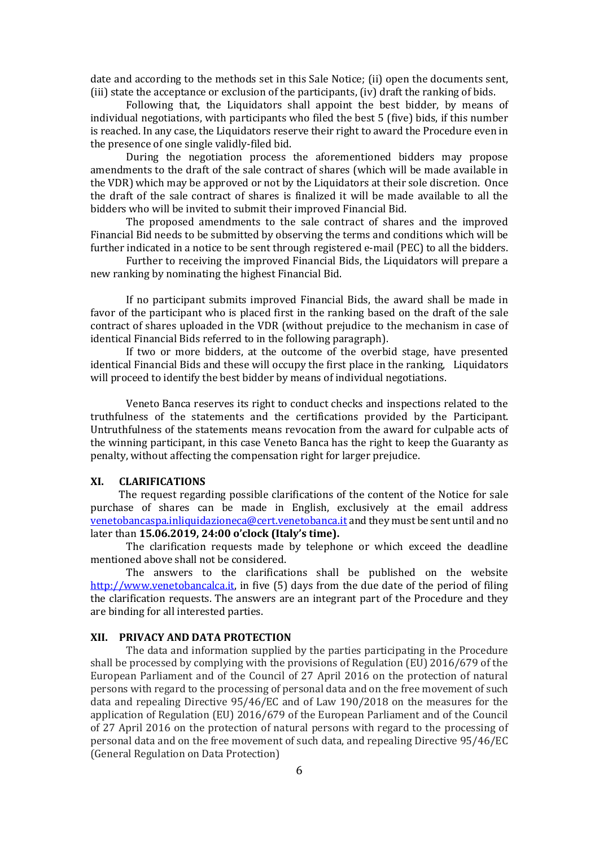date and according to the methods set in this Sale Notice; (ii) open the documents sent, (iii) state the acceptance or exclusion of the participants, (iv) draft the ranking of bids.

Following that, the Liquidators shall appoint the best bidder, by means of individual negotiations, with participants who filed the best 5 (five) bids, if this number is reached. In any case, the Liquidators reserve their right to award the Procedure even in the presence of one single validly-filed bid.

During the negotiation process the aforementioned bidders may propose amendments to the draft of the sale contract of shares (which will be made available in the VDR) which may be approved or not by the Liquidators at their sole discretion. Once the draft of the sale contract of shares is finalized it will be made available to all the bidders who will be invited to submit their improved Financial Bid.

The proposed amendments to the sale contract of shares and the improved Financial Bid needs to be submitted by observing the terms and conditions which will be further indicated in a notice to be sent through registered e-mail (PEC) to all the bidders.

Further to receiving the improved Financial Bids, the Liquidators will prepare a new ranking by nominating the highest Financial Bid.

If no participant submits improved Financial Bids, the award shall be made in favor of the participant who is placed first in the ranking based on the draft of the sale contract of shares uploaded in the VDR (without prejudice to the mechanism in case of identical Financial Bids referred to in the following paragraph).

If two or more bidders, at the outcome of the overbid stage, have presented identical Financial Bids and these will occupy the first place in the ranking, Liquidators will proceed to identify the best bidder by means of individual negotiations.

Veneto Banca reserves its right to conduct checks and inspections related to the truthfulness of the statements and the certifications provided by the Participant. Untruthfulness of the statements means revocation from the award for culpable acts of the winning participant, in this case Veneto Banca has the right to keep the Guaranty as penalty, without affecting the compensation right for larger prejudice.

# **XI. CLARIFICATIONS**

The request regarding possible clarifications of the content of the Notice for sale purchase of shares can be made in English, exclusively at the email address [venetobancaspa.inliquidazioneca@cert.venetobanca.it](mailto:venetobancaspa.inliquidazioneca@cert.venetobanca.it) and they must be sent until and no later than **15.06.2019, 24:00 o'clock (Italy's time).**

The clarification requests made by telephone or which exceed the deadline mentioned above shall not be considered.

The answers to the clarifications shall be published on the website [http://www.venetobancalca.it,](http://www.venetobancalca.it/) in five (5) days from the due date of the period of filing the clarification requests. The answers are an integrant part of the Procedure and they are binding for all interested parties.

#### **XII. PRIVACY AND DATA PROTECTION**

The data and information supplied by the parties participating in the Procedure shall be processed by complying with the provisions of Regulation (EU) 2016/679 of the European Parliament and of the Council of 27 April 2016 on the protection of natural persons with regard to the processing of personal data and on the free movement of such data and repealing Directive 95/46/EC and of Law 190/2018 on the measures for the application of Regulation (EU) 2016/679 of the European Parliament and of the Council of 27 April 2016 on the protection of natural persons with regard to the processing of personal data and on the free movement of such data, and repealing Directive 95/46/EC (General Regulation on Data Protection)